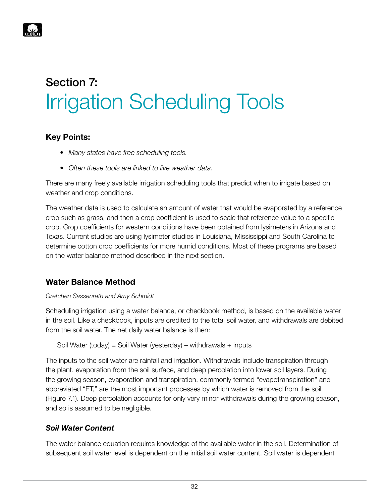

#### **Key Points:**

- *• Many states have free scheduling tools.*
- *• Often these tools are linked to live weather data.*

There are many freely available irrigation scheduling tools that predict when to irrigate based on weather and crop conditions.

The weather data is used to calculate an amount of water that would be evaporated by a reference crop such as grass, and then a crop coefficient is used to scale that reference value to a specific crop. Crop coefficients for western conditions have been obtained from lysimeters in Arizona and Texas. Current studies are using lysimeter studies in Louisiana, Mississippi and South Carolina to determine cotton crop coefficients for more humid conditions. Most of these programs are based on the water balance method described in the next section.

## **Water Balance Method**

#### *Gretchen Sassenrath and Amy Schmidt*

Scheduling irrigation using a water balance, or checkbook method, is based on the available water in the soil. Like a checkbook, inputs are credited to the total soil water, and withdrawals are debited from the soil water. The net daily water balance is then:

```
Soil Water (today) = Soil Water (yesterday) – withdrawals + inputs
```
The inputs to the soil water are rainfall and irrigation. Withdrawals include transpiration through the plant, evaporation from the soil surface, and deep percolation into lower soil layers. During the growing season, evaporation and transpiration, commonly termed "evapotranspiration" and abbreviated "ET," are the most important processes by which water is removed from the soil (Figure 7.1). Deep percolation accounts for only very minor withdrawals during the growing season, and so is assumed to be negligible.

#### *Soil Water Content*

The water balance equation requires knowledge of the available water in the soil. Determination of subsequent soil water level is dependent on the initial soil water content. Soil water is dependent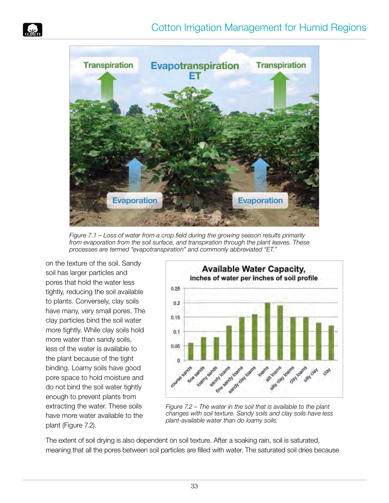



*Figure 7.1 – Loss of water from a crop field during the growing season results primarily from evaporation from the soil surface, and transpiration through the plant leaves. These processes are termed "evapotranspiration" and commonly abbreviated "ET."*

on the texture of the soil. Sandy soil has larger particles and pores that hold the water less tightly, reducing the soil available to plants. Conversely, clay soils have many, very small pores. The clay particles bind the soil water more tightly. While clay soils hold more water than sandy soils, less of the water is available to the plant because of the tight binding. Loamy soils have good pore space to hold moisture and do not bind the soil water tightly enough to prevent plants from extracting the water. These soils have more water available to the plant (Figure 7.2).



*Figure 7.2 – The water in the soil that is available to the plant changes with soil texture. Sandy soils and clay soils have less plant-available water than do loamy soils.*

The extent of soil drying is also dependent on soil texture. After a soaking rain, soil is saturated, meaning that all the pores between soil particles are filled with water. The saturated soil dries because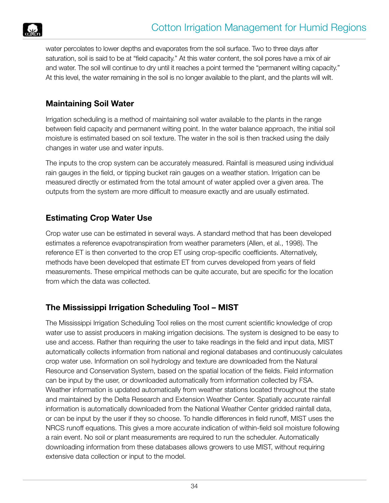

water percolates to lower depths and evaporates from the soil surface. Two to three days after saturation, soil is said to be at "field capacity." At this water content, the soil pores have a mix of air and water. The soil will continue to dry until it reaches a point termed the "permanent wilting capacity." At this level, the water remaining in the soil is no longer available to the plant, and the plants will wilt.

### **Maintaining Soil Water**

Irrigation scheduling is a method of maintaining soil water available to the plants in the range between field capacity and permanent wilting point. In the water balance approach, the initial soil moisture is estimated based on soil texture. The water in the soil is then tracked using the daily changes in water use and water inputs.

The inputs to the crop system can be accurately measured. Rainfall is measured using individual rain gauges in the field, or tipping bucket rain gauges on a weather station. Irrigation can be measured directly or estimated from the total amount of water applied over a given area. The outputs from the system are more difficult to measure exactly and are usually estimated.

#### **Estimating Crop Water Use**

Crop water use can be estimated in several ways. A standard method that has been developed estimates a reference evapotranspiration from weather parameters (Allen, et al., 1998). The reference ET is then converted to the crop ET using crop-specific coefficients. Alternatively, methods have been developed that estimate ET from curves developed from years of field measurements. These empirical methods can be quite accurate, but are specific for the location from which the data was collected.

## **The Mississippi Irrigation Scheduling Tool – MIST**

The Mississippi Irrigation Scheduling Tool relies on the most current scientific knowledge of crop water use to assist producers in making irrigation decisions. The system is designed to be easy to use and access. Rather than requiring the user to take readings in the field and input data, MIST automatically collects information from national and regional databases and continuously calculates crop water use. Information on soil hydrology and texture are downloaded from the Natural Resource and Conservation System, based on the spatial location of the fields. Field information can be input by the user, or downloaded automatically from information collected by FSA. Weather information is updated automatically from weather stations located throughout the state and maintained by the Delta Research and Extension Weather Center. Spatially accurate rainfall information is automatically downloaded from the National Weather Center gridded rainfall data, or can be input by the user if they so choose. To handle differences in field runoff, MIST uses the NRCS runoff equations. This gives a more accurate indication of within-field soil moisture following a rain event. No soil or plant measurements are required to run the scheduler. Automatically downloading information from these databases allows growers to use MIST, without requiring extensive data collection or input to the model.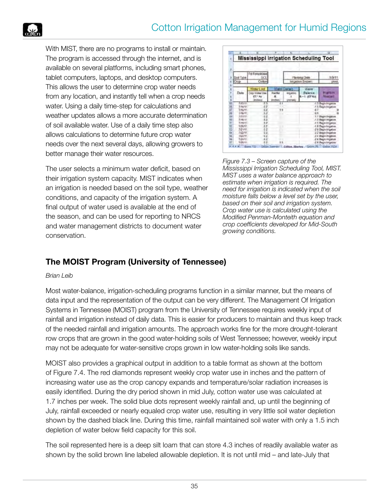With MIST, there are no programs to install or maintain. The program is accessed through the internet, and is available on several platforms, including smart phones, tablet computers, laptops, and desktop computers. This allows the user to determine crop water needs from any location, and instantly tell when a crop needs water. Using a daily time-step for calculations and weather updates allows a more accurate determination of soil available water. Use of a daily time step also allows calculations to determine future crop water needs over the next several days, allowing growers to better manage their water resources.

The user selects a minimum water deficit, based on their irrigation system capacity. MIST indicates when an irrigation is needed based on the soil type, weather conditions, and capacity of the irrigation system. A final output of water used is available at the end of the season, and can be used for reporting to NRCS and water management districts to document water conservation.



*Figure 7.3 – Screen capture of the Mississippi Irrigation Scheduling Tool, MIST. MIST uses a water balance approach to estimate when irrigation is required. The need for irrigation is indicated when the soil moisture falls below a level set by the user, based on their soil and irrigation system. Crop water use is calculated using the Modified Penman-Monteith equation and crop coefficients developed for Mid-South growing conditions.*

# **The MOIST Program (University of Tennessee)**

#### *Brian Leib*

Most water-balance, irrigation-scheduling programs function in a similar manner, but the means of data input and the representation of the output can be very different. The Management Of Irrigation Systems in Tennessee (MOIST) program from the University of Tennessee requires weekly input of rainfall and irrigation instead of daily data. This is easier for producers to maintain and thus keep track of the needed rainfall and irrigation amounts. The approach works fine for the more drought-tolerant row crops that are grown in the good water-holding soils of West Tennessee; however, weekly input may not be adequate for water-sensitive crops grown in low water-holding soils like sands.

MOIST also provides a graphical output in addition to a table format as shown at the bottom of Figure 7.4. The red diamonds represent weekly crop water use in inches and the pattern of increasing water use as the crop canopy expands and temperature/solar radiation increases is easily identified. During the dry period shown in mid July, cotton water use was calculated at 1.7 inches per week. The solid blue dots represent weekly rainfall and, up until the beginning of July, rainfall exceeded or nearly equaled crop water use, resulting in very little soil water depletion shown by the dashed black line. During this time, rainfall maintained soil water with only a 1.5 inch depletion of water below field capacity for this soil.

The soil represented here is a deep silt loam that can store 4.3 inches of readily available water as shown by the solid brown line labeled allowable depletion. It is not until mid – and late-July that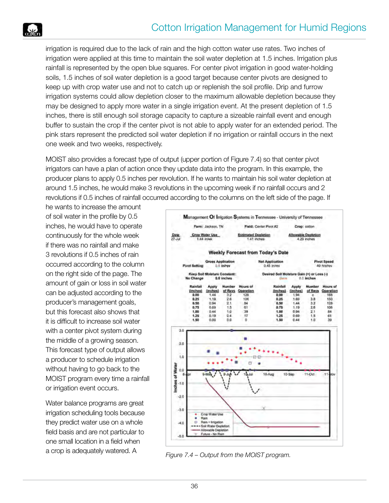

irrigation is required due to the lack of rain and the high cotton water use rates. Two inches of irrigation were applied at this time to maintain the soil water depletion at 1.5 inches. Irrigation plus rainfall is represented by the open blue squares. For center pivot irrigation in good water-holding soils, 1.5 inches of soil water depletion is a good target because center pivots are designed to keep up with crop water use and not to catch up or replenish the soil profile. Drip and furrow irrigation systems could allow depletion closer to the maximum allowable depletion because they may be designed to apply more water in a single irrigation event. At the present depletion of 1.5 inches, there is still enough soil storage capacity to capture a sizeable rainfall event and enough buffer to sustain the crop if the center pivot is not able to apply water for an extended period. The pink stars represent the predicted soil water depletion if no irrigation or rainfall occurs in the next one week and two weeks, respectively.

MOIST also provides a forecast type of output (upper portion of Figure 7.4) so that center pivot irrigators can have a plan of action once they update data into the program. In this example, the producer plans to apply 0.5 inches per revolution. If he wants to maintain his soil water depletion at around 1.5 inches, he would make 3 revolutions in the upcoming week if no rainfall occurs and 2 revolutions if 0.5 inches of rainfall occurred according to the columns on the left side of the page. If

he wants to increase the amount of soil water in the profile by 0.5 inches, he would have to operate continuously for the whole week if there was no rainfall and make 3 revolutions if 0.5 inches of rain occurred according to the column on the right side of the page. The amount of gain or loss in soil water can be adjusted according to the producer's management goals, but this forecast also shows that it is difficult to increase soil water with a center pivot system during the middle of a growing season. This forecast type of output allows a producer to schedule irrigation without having to go back to the MOIST program every time a rainfall or irrigation event occurs.

Water balance programs are great irrigation scheduling tools because they predict water use on a whole field basis and are not particular to one small location in a field when



a crop is adequately watered. A *Figure 7.4 – Output from the MOIST program.*